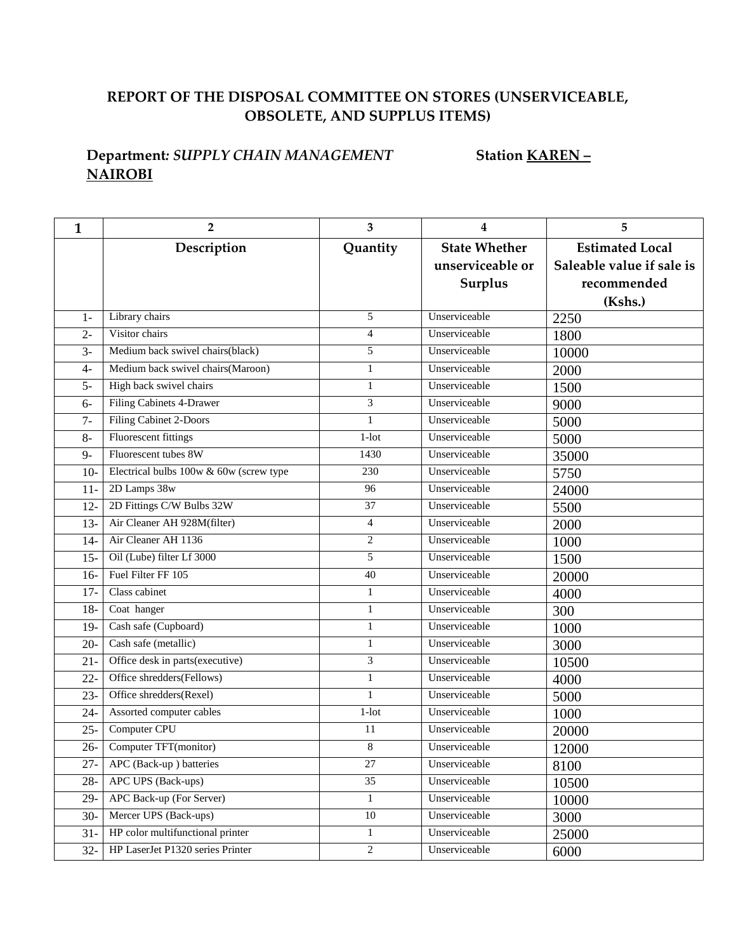## **REPORT OF THE DISPOSAL COMMITTEE ON STORES (UNSERVICEABLE, OBSOLETE, AND SUPPLUS ITEMS)**

## **Department***: SUPPLY CHAIN MANAGEMENT* **Station KAREN – NAIROBI**

| $\mathbf{1}$ | 2                                       | 3                | 4                    | 5                         |
|--------------|-----------------------------------------|------------------|----------------------|---------------------------|
|              | Description                             | Quantity         | <b>State Whether</b> | <b>Estimated Local</b>    |
|              |                                         |                  | unserviceable or     | Saleable value if sale is |
|              |                                         |                  | Surplus              | recommended               |
|              |                                         |                  |                      | (Kshs.)                   |
| $1-$         | Library chairs                          | 5                | Unserviceable        | 2250                      |
| $2 -$        | Visitor chairs                          | $\overline{4}$   | Unserviceable        | 1800                      |
| $3-$         | Medium back swivel chairs(black)        | 5                | Unserviceable        | 10000                     |
| 4-           | Medium back swivel chairs (Maroon)      | $\mathbf{1}$     | Unserviceable        | 2000                      |
| $5-$         | High back swivel chairs                 | $\mathbf{1}$     | Unserviceable        | 1500                      |
| $6-$         | Filing Cabinets 4-Drawer                | 3                | Unserviceable        | 9000                      |
| $7 -$        | Filing Cabinet 2-Doors                  | $\mathbf{1}$     | Unserviceable        | 5000                      |
| $8-$         | Fluorescent fittings                    | $1$ -lot         | Unserviceable        | 5000                      |
| $9-$         | Fluorescent tubes 8W                    | 1430             | Unserviceable        | 35000                     |
| $10-$        | Electrical bulbs 100w & 60w (screw type | 230              | Unserviceable        | 5750                      |
| $11-$        | 2D Lamps 38w                            | 96               | Unserviceable        | 24000                     |
| $12 -$       | 2D Fittings C/W Bulbs 32W               | $\overline{37}$  | Unserviceable        | 5500                      |
| $13 -$       | Air Cleaner AH 928M(filter)             | $\overline{4}$   | Unserviceable        | 2000                      |
| $14-$        | Air Cleaner AH 1136                     | $\boldsymbol{2}$ | Unserviceable        | 1000                      |
| $15 -$       | Oil (Lube) filter Lf 3000               | 5                | Unserviceable        | 1500                      |
| $16-$        | Fuel Filter FF 105                      | 40               | Unserviceable        | 20000                     |
| $17-$        | Class cabinet                           | $\mathbf{1}$     | Unserviceable        | 4000                      |
| $18-$        | Coat hanger                             | $\mathbf{1}$     | Unserviceable        | 300                       |
| $19-$        | Cash safe (Cupboard)                    | $\mathbf{1}$     | Unserviceable        | 1000                      |
| $20 -$       | Cash safe (metallic)                    | $\mathbf{1}$     | Unserviceable        | 3000                      |
| $21 -$       | Office desk in parts(executive)         | 3                | Unserviceable        | 10500                     |
| $22 -$       | Office shredders(Fellows)               | $\mathbf{1}$     | Unserviceable        | 4000                      |
| $23 -$       | Office shredders(Rexel)                 | $\mathbf{1}$     | Unserviceable        | 5000                      |
| $24 -$       | Assorted computer cables                | $1$ -lot         | Unserviceable        | 1000                      |
| $25 -$       | Computer CPU                            | 11               | Unserviceable        | 20000                     |
| $26 -$       | Computer TFT(monitor)                   | 8                | Unserviceable        | 12000                     |
| $27 -$       | APC (Back-up) batteries                 | 27               | Unserviceable        | 8100                      |
| $28 -$       | APC UPS (Back-ups)                      | 35               | Unserviceable        | 10500                     |
| $29 -$       | APC Back-up (For Server)                | $\mathbf{1}$     | Unserviceable        | 10000                     |
| $30-$        | Mercer UPS (Back-ups)                   | $10\,$           | Unserviceable        | 3000                      |
| $31 -$       | HP color multifunctional printer        | $\mathbf{1}$     | Unserviceable        | 25000                     |
| $32 -$       | HP LaserJet P1320 series Printer        | $\overline{c}$   | Unserviceable        | 6000                      |